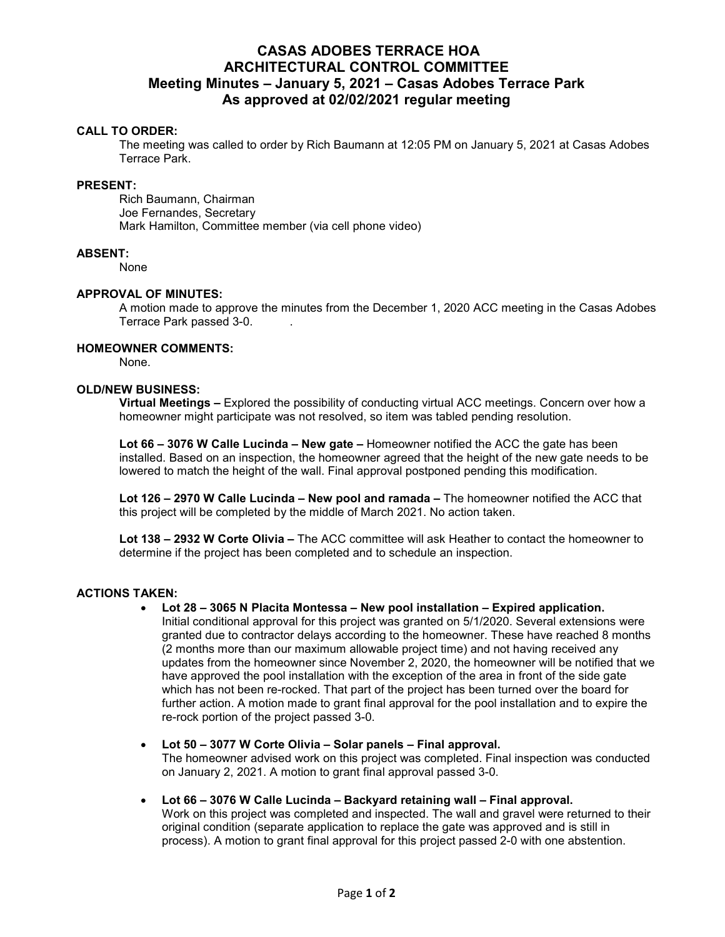# **CASAS ADOBES TERRACE HOA ARCHITECTURAL CONTROL COMMITTEE Meeting Minutes – January 5, 2021 – Casas Adobes Terrace Park As approved at 02/02/2021 regular meeting**

# **CALL TO ORDER:**

The meeting was called to order by Rich Baumann at 12:05 PM on January 5, 2021 at Casas Adobes Terrace Park.

## **PRESENT:**

Rich Baumann, Chairman Joe Fernandes, Secretary Mark Hamilton, Committee member (via cell phone video)

## **ABSENT:**

None

## **APPROVAL OF MINUTES:**

A motion made to approve the minutes from the December 1, 2020 ACC meeting in the Casas Adobes Terrace Park passed 3-0. .

#### **HOMEOWNER COMMENTS:**

None.

# **OLD/NEW BUSINESS:**

**Virtual Meetings –** Explored the possibility of conducting virtual ACC meetings. Concern over how a homeowner might participate was not resolved, so item was tabled pending resolution.

**Lot 66 – 3076 W Calle Lucinda – New gate –** Homeowner notified the ACC the gate has been installed. Based on an inspection, the homeowner agreed that the height of the new gate needs to be lowered to match the height of the wall. Final approval postponed pending this modification.

**Lot 126 – 2970 W Calle Lucinda – New pool and ramada –** The homeowner notified the ACC that this project will be completed by the middle of March 2021. No action taken.

**Lot 138 – 2932 W Corte Olivia –** The ACC committee will ask Heather to contact the homeowner to determine if the project has been completed and to schedule an inspection.

## **ACTIONS TAKEN:**

**Lot 28 – 3065 N Placita Montessa – New pool installation – Expired application.** 

Initial conditional approval for this project was granted on 5/1/2020. Several extensions were granted due to contractor delays according to the homeowner. These have reached 8 months (2 months more than our maximum allowable project time) and not having received any updates from the homeowner since November 2, 2020, the homeowner will be notified that we have approved the pool installation with the exception of the area in front of the side gate which has not been re-rocked. That part of the project has been turned over the board for further action. A motion made to grant final approval for the pool installation and to expire the re-rock portion of the project passed 3-0.

- **Lot 50 3077 W Corte Olivia Solar panels Final approval.**  The homeowner advised work on this project was completed. Final inspection was conducted on January 2, 2021. A motion to grant final approval passed 3-0.
- **Lot 66 3076 W Calle Lucinda Backyard retaining wall Final approval.**  Work on this project was completed and inspected. The wall and gravel were returned to their original condition (separate application to replace the gate was approved and is still in process). A motion to grant final approval for this project passed 2-0 with one abstention.